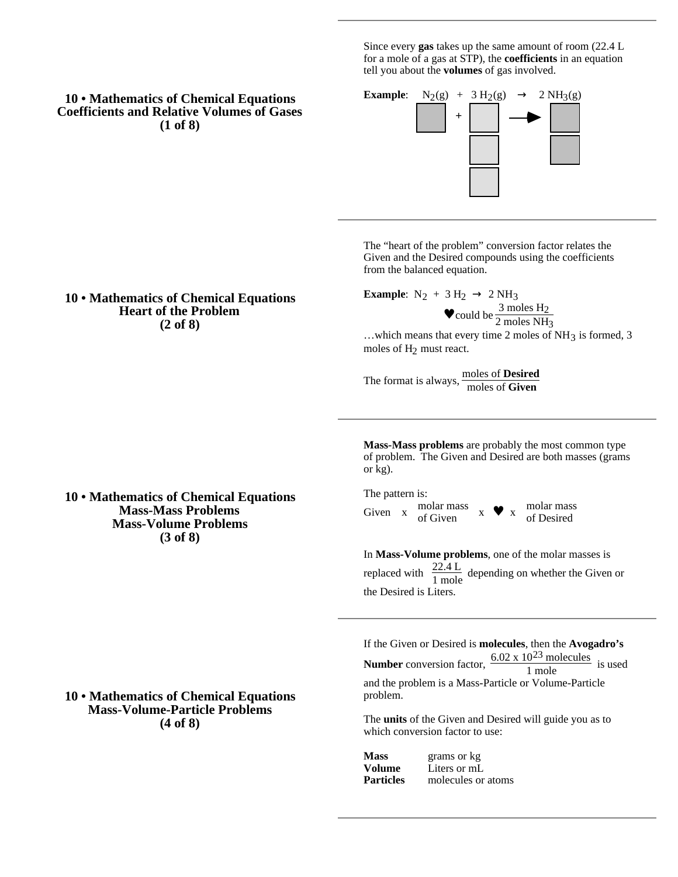Since every **gas** takes up the same amount of room (22.4 L for a mole of a gas at STP), the **coefficients** in an equation tell you about the **volumes** of gas involved.

# **10 • Mathematics of Chemical Equations Coefficients and Relative Volumes of Gases (1 of 8)**



The "heart of the problem" conversion factor relates the Given and the Desired compounds using the coefficients from the balanced equation.

**Example:**  $N_2 + 3 H_2$  2 NH<sub>3</sub>

$$
• \text{ could be } \frac{3 \text{ moles H}_2}{2 \text{ moles NH}_3}
$$

...which means that every time 2 moles of NH<sub>3</sub> is formed, 3 moles of H2 must react.

The format is always, moles of **Desired** moles of **Given**

**Mass-Mass problems** are probably the most common type of problem. The Given and Desired are both masses (grams or kg).

The pattern is: Given  $\bar{x}$  molar mass molar mass<br>of Given  $x \bullet x$  molar mass<br>of Given of Desired

In **Mass-Volume problems**, one of the molar masses is replaced with  $\frac{22.4 \text{ L}}{1 \text{ mole}}$  depending on whether the Given or the Desired is Liters.

If the Given or Desired is **molecules**, then the **Avogadro's Number** conversion factor,  $\frac{6.02 \times 10^{23} \text{ molecules}}{1 \text{ mole}}$  is used and the problem is a Mass-Particle or Volume-Particle problem.

The **units** of the Given and Desired will guide you as to which conversion factor to use:

| Mass      | grams or kg        |
|-----------|--------------------|
| Volume    | Liters or mL       |
| Particles | molecules or atoms |

**10 • Mathematics of Chemical Equations Heart of the Problem (2 of 8)**

**10 • Mathematics of Chemical Equations Mass-Mass Problems Mass-Volume Problems (3 of 8)**

# **10 • Mathematics of Chemical Equations Mass-Volume-Particle Problems (4 of 8)**